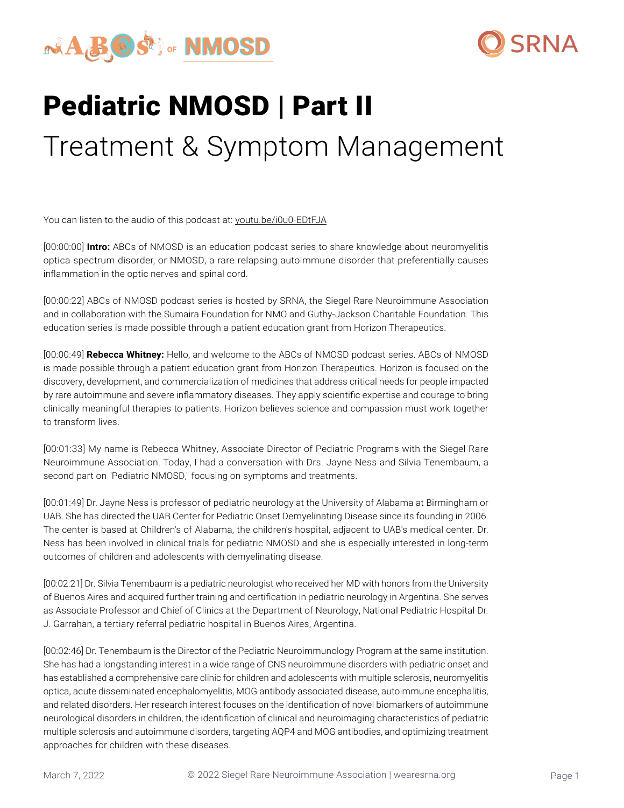



# Pediatric NMOSD | Part II Treatment & Symptom Management

You can listen to the audio of this podcast at: [youtu.be/i0u0-EDtFJA](https://youtu.be/i0u0-EDtFJA)

[00:00:00] **Intro:** ABCs of NMOSD is an education podcast series to share knowledge about neuromyelitis optica spectrum disorder, or NMOSD, a rare relapsing autoimmune disorder that preferentially causes inflammation in the optic nerves and spinal cord.

[00:00:22] ABCs of NMOSD podcast series is hosted by SRNA, the Siegel Rare Neuroimmune Association and in collaboration with the Sumaira Foundation for NMO and Guthy-Jackson Charitable Foundation. This education series is made possible through a patient education grant from Horizon Therapeutics.

[00:00:49] **Rebecca Whitney:** Hello, and welcome to the ABCs of NMOSD podcast series. ABCs of NMOSD is made possible through a patient education grant from Horizon Therapeutics. Horizon is focused on the discovery, development, and commercialization of medicines that address critical needs for people impacted by rare autoimmune and severe inflammatory diseases. They apply scientific expertise and courage to bring clinically meaningful therapies to patients. Horizon believes science and compassion must work together to transform lives.

[00:01:33] My name is Rebecca Whitney, Associate Director of Pediatric Programs with the Siegel Rare Neuroimmune Association. Today, I had a conversation with Drs. Jayne Ness and Silvia Tenembaum, a second part on "Pediatric NMOSD," focusing on symptoms and treatments.

[00:01:49] Dr. Jayne Ness is professor of pediatric neurology at the University of Alabama at Birmingham or UAB. She has directed the UAB Center for Pediatric Onset Demyelinating Disease since its founding in 2006. The center is based at Children's of Alabama, the children's hospital, adjacent to UAB's medical center. Dr. Ness has been involved in clinical trials for pediatric NMOSD and she is especially interested in long-term outcomes of children and adolescents with demyelinating disease.

[00:02:21] Dr. Silvia Tenembaum is a pediatric neurologist who received her MD with honors from the University of Buenos Aires and acquired further training and certification in pediatric neurology in Argentina. She serves as Associate Professor and Chief of Clinics at the Department of Neurology, National Pediatric Hospital Dr. J. Garrahan, a tertiary referral pediatric hospital in Buenos Aires, Argentina.

[00:02:46] Dr. Tenembaum is the Director of the Pediatric Neuroimmunology Program at the same institution. She has had a longstanding interest in a wide range of CNS neuroimmune disorders with pediatric onset and has established a comprehensive care clinic for children and adolescents with multiple sclerosis, neuromyelitis optica, acute disseminated encephalomyelitis, MOG antibody associated disease, autoimmune encephalitis, and related disorders. Her research interest focuses on the identification of novel biomarkers of autoimmune neurological disorders in children, the identification of clinical and neuroimaging characteristics of pediatric multiple sclerosis and autoimmune disorders, targeting AQP4 and MOG antibodies, and optimizing treatment approaches for children with these diseases.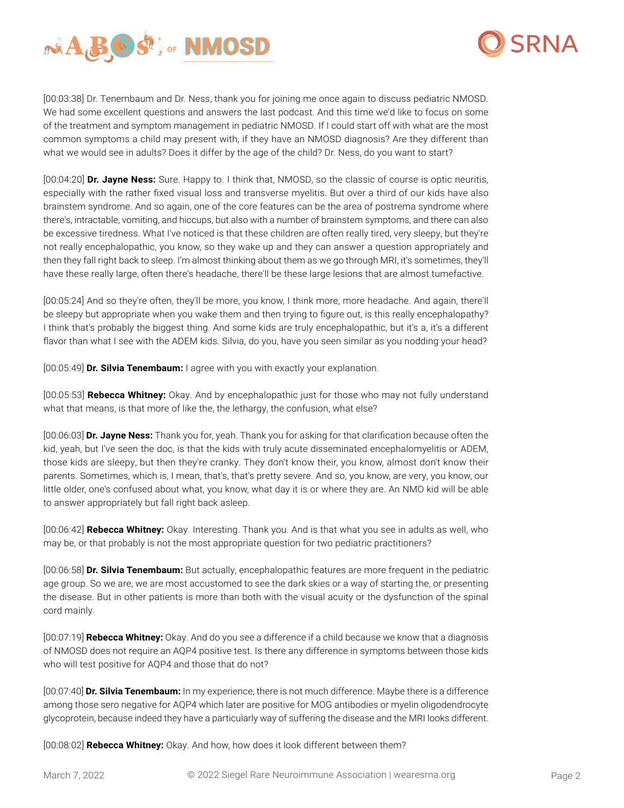



[00:03:38] Dr. Tenembaum and Dr. Ness, thank you for joining me once again to discuss pediatric NMOSD. We had some excellent questions and answers the last podcast. And this time we'd like to focus on some of the treatment and symptom management in pediatric NMOSD. If I could start off with what are the most common symptoms a child may present with, if they have an NMOSD diagnosis? Are they different than what we would see in adults? Does it differ by the age of the child? Dr. Ness, do you want to start?

[00:04:20] **Dr. Jayne Ness:** Sure. Happy to. I think that, NMOSD, so the classic of course is optic neuritis, especially with the rather fixed visual loss and transverse myelitis. But over a third of our kids have also brainstem syndrome. And so again, one of the core features can be the area of postrema syndrome where there's, intractable, vomiting, and hiccups, but also with a number of brainstem symptoms, and there can also be excessive tiredness. What I've noticed is that these children are often really tired, very sleepy, but they're not really encephalopathic, you know, so they wake up and they can answer a question appropriately and then they fall right back to sleep. I'm almost thinking about them as we go through MRI, it's sometimes, they'll have these really large, often there's headache, there'll be these large lesions that are almost tumefactive.

[00:05:24] And so they're often, they'll be more, you know, I think more, more headache. And again, there'll be sleepy but appropriate when you wake them and then trying to figure out, is this really encephalopathy? I think that's probably the biggest thing. And some kids are truly encephalopathic, but it's a, it's a different flavor than what I see with the ADEM kids. Silvia, do you, have you seen similar as you nodding your head?

[00:05:49] **Dr. Silvia Tenembaum:** I agree with you with exactly your explanation.

[00:05:53] **Rebecca Whitney:** Okay. And by encephalopathic just for those who may not fully understand what that means, is that more of like the, the lethargy, the confusion, what else?

[00:06:03] **Dr. Jayne Ness:** Thank you for, yeah. Thank you for asking for that clarification because often the kid, yeah, but I've seen the doc, is that the kids with truly acute disseminated encephalomyelitis or ADEM, those kids are sleepy, but then they're cranky. They don't know their, you know, almost don't know their parents. Sometimes, which is, I mean, that's, that's pretty severe. And so, you know, are very, you know, our little older, one's confused about what, you know, what day it is or where they are. An NMO kid will be able to answer appropriately but fall right back asleep.

[00:06:42] **Rebecca Whitney:** Okay. Interesting. Thank you. And is that what you see in adults as well, who may be, or that probably is not the most appropriate question for two pediatric practitioners?

[00:06:58] **Dr. Silvia Tenembaum:** But actually, encephalopathic features are more frequent in the pediatric age group. So we are, we are most accustomed to see the dark skies or a way of starting the, or presenting the disease. But in other patients is more than both with the visual acuity or the dysfunction of the spinal cord mainly.

[00:07:19] **Rebecca Whitney:** Okay. And do you see a difference if a child because we know that a diagnosis of NMOSD does not require an AQP4 positive test. Is there any difference in symptoms between those kids who will test positive for AQP4 and those that do not?

[00:07:40] **Dr. Silvia Tenembaum:** In my experience, there is not much difference. Maybe there is a difference among those sero negative for AQP4 which later are positive for MOG antibodies or myelin oligodendrocyte glycoprotein, because indeed they have a particularly way of suffering the disease and the MRI looks different.

[00:08:02] **Rebecca Whitney:** Okay. And how, how does it look different between them?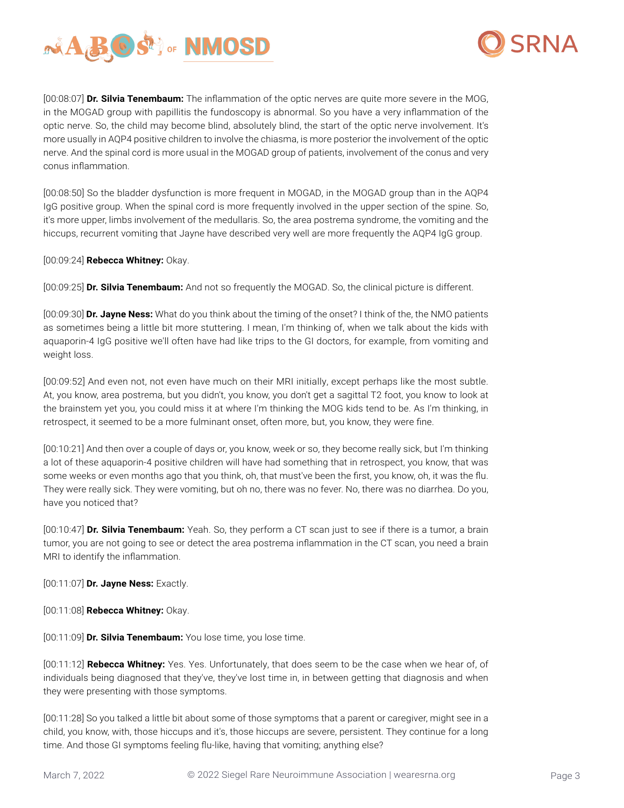



[00:08:07] **Dr. Silvia Tenembaum:** The inflammation of the optic nerves are quite more severe in the MOG, in the MOGAD group with papillitis the fundoscopy is abnormal. So you have a very inflammation of the optic nerve. So, the child may become blind, absolutely blind, the start of the optic nerve involvement. It's more usually in AQP4 positive children to involve the chiasma, is more posterior the involvement of the optic nerve. And the spinal cord is more usual in the MOGAD group of patients, involvement of the conus and very conus inflammation.

[00:08:50] So the bladder dysfunction is more frequent in MOGAD, in the MOGAD group than in the AQP4 IgG positive group. When the spinal cord is more frequently involved in the upper section of the spine. So, it's more upper, limbs involvement of the medullaris. So, the area postrema syndrome, the vomiting and the hiccups, recurrent vomiting that Jayne have described very well are more frequently the AQP4 IgG group.

[00:09:24] **Rebecca Whitney:** Okay.

[00:09:25] **Dr. Silvia Tenembaum:** And not so frequently the MOGAD. So, the clinical picture is different.

[00:09:30] **Dr. Jayne Ness:** What do you think about the timing of the onset? I think of the, the NMO patients as sometimes being a little bit more stuttering. I mean, I'm thinking of, when we talk about the kids with aquaporin-4 IgG positive we'll often have had like trips to the GI doctors, for example, from vomiting and weight loss.

[00:09:52] And even not, not even have much on their MRI initially, except perhaps like the most subtle. At, you know, area postrema, but you didn't, you know, you don't get a sagittal T2 foot, you know to look at the brainstem yet you, you could miss it at where I'm thinking the MOG kids tend to be. As I'm thinking, in retrospect, it seemed to be a more fulminant onset, often more, but, you know, they were fine.

[00:10:21] And then over a couple of days or, you know, week or so, they become really sick, but I'm thinking a lot of these aquaporin-4 positive children will have had something that in retrospect, you know, that was some weeks or even months ago that you think, oh, that must've been the first, you know, oh, it was the flu. They were really sick. They were vomiting, but oh no, there was no fever. No, there was no diarrhea. Do you, have you noticed that?

[00:10:47] **Dr. Silvia Tenembaum:** Yeah. So, they perform a CT scan just to see if there is a tumor, a brain tumor, you are not going to see or detect the area postrema inflammation in the CT scan, you need a brain MRI to identify the inflammation.

[00:11:07] **Dr. Jayne Ness:** Exactly.

[00:11:08] **Rebecca Whitney:** Okay.

[00:11:09] **Dr. Silvia Tenembaum:** You lose time, you lose time.

[00:11:12] **Rebecca Whitney:** Yes. Yes. Unfortunately, that does seem to be the case when we hear of, of individuals being diagnosed that they've, they've lost time in, in between getting that diagnosis and when they were presenting with those symptoms.

[00:11:28] So you talked a little bit about some of those symptoms that a parent or caregiver, might see in a child, you know, with, those hiccups and it's, those hiccups are severe, persistent. They continue for a long time. And those GI symptoms feeling flu-like, having that vomiting; anything else?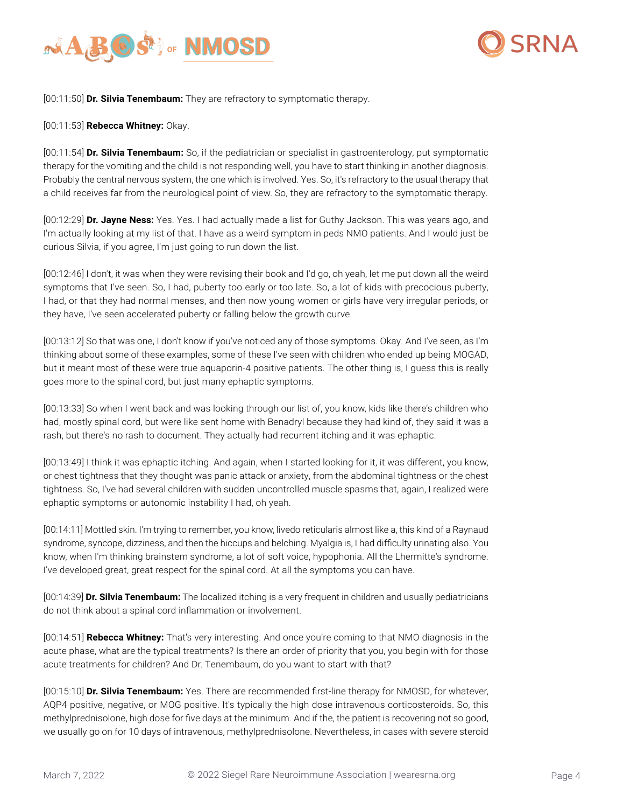



[00:11:50] **Dr. Silvia Tenembaum:** They are refractory to symptomatic therapy.

### [00:11:53] **Rebecca Whitney:** Okay.

[00:11:54] **Dr. Silvia Tenembaum:** So, if the pediatrician or specialist in gastroenterology, put symptomatic therapy for the vomiting and the child is not responding well, you have to start thinking in another diagnosis. Probably the central nervous system, the one which is involved. Yes. So, it's refractory to the usual therapy that a child receives far from the neurological point of view. So, they are refractory to the symptomatic therapy.

[00:12:29] **Dr. Jayne Ness:** Yes. Yes. I had actually made a list for Guthy Jackson. This was years ago, and I'm actually looking at my list of that. I have as a weird symptom in peds NMO patients. And I would just be curious Silvia, if you agree, I'm just going to run down the list.

[00:12:46] I don't, it was when they were revising their book and I'd go, oh yeah, let me put down all the weird symptoms that I've seen. So, I had, puberty too early or too late. So, a lot of kids with precocious puberty, I had, or that they had normal menses, and then now young women or girls have very irregular periods, or they have, I've seen accelerated puberty or falling below the growth curve.

[00:13:12] So that was one, I don't know if you've noticed any of those symptoms. Okay. And I've seen, as I'm thinking about some of these examples, some of these I've seen with children who ended up being MOGAD, but it meant most of these were true aquaporin-4 positive patients. The other thing is, I guess this is really goes more to the spinal cord, but just many ephaptic symptoms.

[00:13:33] So when I went back and was looking through our list of, you know, kids like there's children who had, mostly spinal cord, but were like sent home with Benadryl because they had kind of, they said it was a rash, but there's no rash to document. They actually had recurrent itching and it was ephaptic.

[00:13:49] I think it was ephaptic itching. And again, when I started looking for it, it was different, you know, or chest tightness that they thought was panic attack or anxiety, from the abdominal tightness or the chest tightness. So, I've had several children with sudden uncontrolled muscle spasms that, again, I realized were ephaptic symptoms or autonomic instability I had, oh yeah.

[00:14:11] Mottled skin. I'm trying to remember, you know, livedo reticularis almost like a, this kind of a Raynaud syndrome, syncope, dizziness, and then the hiccups and belching. Myalgia is, I had difficulty urinating also. You know, when I'm thinking brainstem syndrome, a lot of soft voice, hypophonia. All the Lhermitte's syndrome. I've developed great, great respect for the spinal cord. At all the symptoms you can have.

[00:14:39] **Dr. Silvia Tenembaum:** The localized itching is a very frequent in children and usually pediatricians do not think about a spinal cord inflammation or involvement.

[00:14:51] **Rebecca Whitney:** That's very interesting. And once you're coming to that NMO diagnosis in the acute phase, what are the typical treatments? Is there an order of priority that you, you begin with for those acute treatments for children? And Dr. Tenembaum, do you want to start with that?

[00:15:10] **Dr. Silvia Tenembaum:** Yes. There are recommended first-line therapy for NMOSD, for whatever, AQP4 positive, negative, or MOG positive. It's typically the high dose intravenous corticosteroids. So, this methylprednisolone, high dose for five days at the minimum. And if the, the patient is recovering not so good, we usually go on for 10 days of intravenous, methylprednisolone. Nevertheless, in cases with severe steroid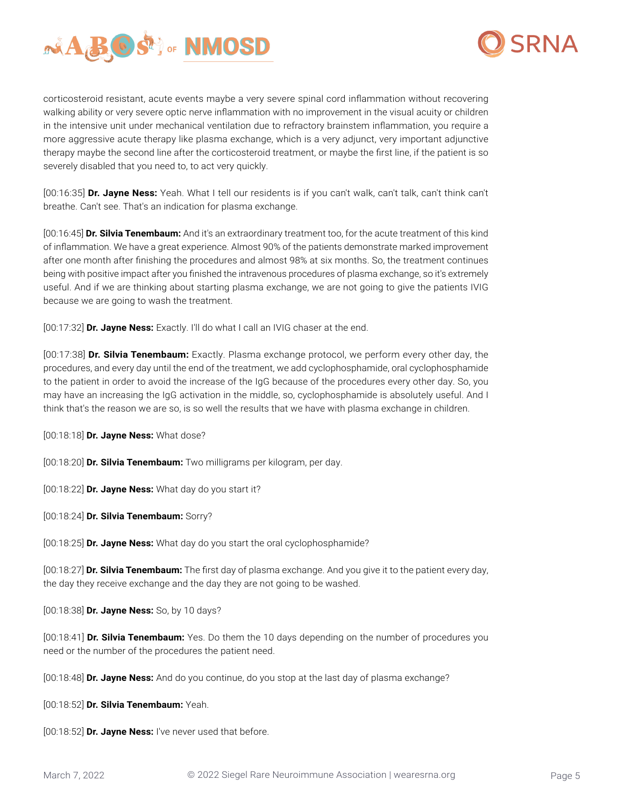



corticosteroid resistant, acute events maybe a very severe spinal cord inflammation without recovering walking ability or very severe optic nerve inflammation with no improvement in the visual acuity or children in the intensive unit under mechanical ventilation due to refractory brainstem inflammation, you require a more aggressive acute therapy like plasma exchange, which is a very adjunct, very important adjunctive therapy maybe the second line after the corticosteroid treatment, or maybe the first line, if the patient is so severely disabled that you need to, to act very quickly.

[00:16:35] **Dr. Jayne Ness:** Yeah. What I tell our residents is if you can't walk, can't talk, can't think can't breathe. Can't see. That's an indication for plasma exchange.

[00:16:45] **Dr. Silvia Tenembaum:** And it's an extraordinary treatment too, for the acute treatment of this kind of inflammation. We have a great experience. Almost 90% of the patients demonstrate marked improvement after one month after finishing the procedures and almost 98% at six months. So, the treatment continues being with positive impact after you finished the intravenous procedures of plasma exchange, so it's extremely useful. And if we are thinking about starting plasma exchange, we are not going to give the patients IVIG because we are going to wash the treatment.

[00:17:32] **Dr. Jayne Ness:** Exactly. I'll do what I call an IVIG chaser at the end.

[00:17:38] **Dr. Silvia Tenembaum:** Exactly. Plasma exchange protocol, we perform every other day, the procedures, and every day until the end of the treatment, we add cyclophosphamide, oral cyclophosphamide to the patient in order to avoid the increase of the IgG because of the procedures every other day. So, you may have an increasing the IgG activation in the middle, so, cyclophosphamide is absolutely useful. And I think that's the reason we are so, is so well the results that we have with plasma exchange in children.

[00:18:18] **Dr. Jayne Ness:** What dose?

[00:18:20] **Dr. Silvia Tenembaum:** Two milligrams per kilogram, per day.

[00:18:22] **Dr. Jayne Ness:** What day do you start it?

[00:18:24] **Dr. Silvia Tenembaum:** Sorry?

[00:18:25] **Dr. Jayne Ness:** What day do you start the oral cyclophosphamide?

[00:18:27] **Dr. Silvia Tenembaum:** The first day of plasma exchange. And you give it to the patient every day, the day they receive exchange and the day they are not going to be washed.

[00:18:38] **Dr. Jayne Ness:** So, by 10 days?

[00:18:41] **Dr. Silvia Tenembaum:** Yes. Do them the 10 days depending on the number of procedures you need or the number of the procedures the patient need.

[00:18:48] **Dr. Jayne Ness:** And do you continue, do you stop at the last day of plasma exchange?

[00:18:52] **Dr. Silvia Tenembaum:** Yeah.

[00:18:52] **Dr. Jayne Ness:** I've never used that before.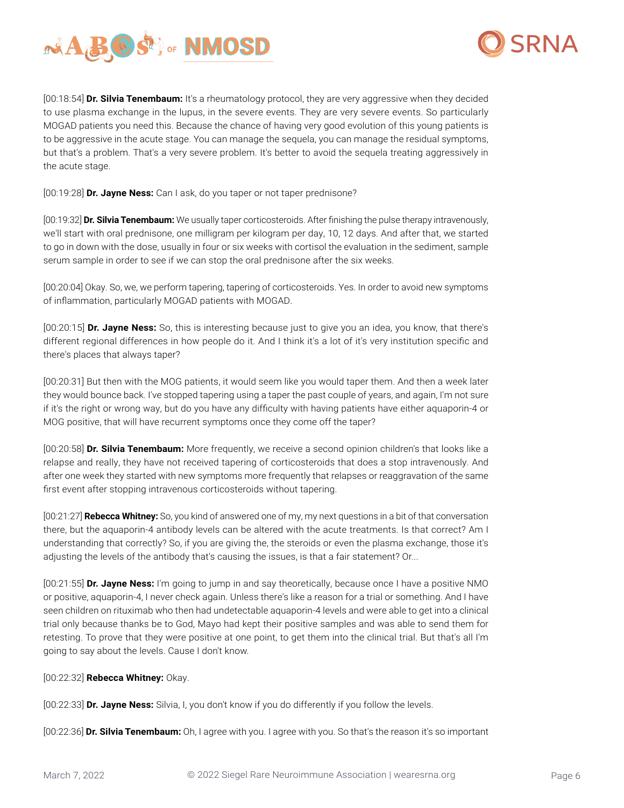



[00:18:54] **Dr. Silvia Tenembaum:** It's a rheumatology protocol, they are very aggressive when they decided to use plasma exchange in the lupus, in the severe events. They are very severe events. So particularly MOGAD patients you need this. Because the chance of having very good evolution of this young patients is to be aggressive in the acute stage. You can manage the sequela, you can manage the residual symptoms, but that's a problem. That's a very severe problem. It's better to avoid the sequela treating aggressively in the acute stage.

[00:19:28] **Dr. Jayne Ness:** Can I ask, do you taper or not taper prednisone?

[00:19:32] **Dr. Silvia Tenembaum:** We usually taper corticosteroids. After finishing the pulse therapy intravenously, we'll start with oral prednisone, one milligram per kilogram per day, 10, 12 days. And after that, we started to go in down with the dose, usually in four or six weeks with cortisol the evaluation in the sediment, sample serum sample in order to see if we can stop the oral prednisone after the six weeks.

[00:20:04] Okay. So, we, we perform tapering, tapering of corticosteroids. Yes. In order to avoid new symptoms of inflammation, particularly MOGAD patients with MOGAD.

[00:20:15] **Dr. Jayne Ness:** So, this is interesting because just to give you an idea, you know, that there's different regional differences in how people do it. And I think it's a lot of it's very institution specific and there's places that always taper?

[00:20:31] But then with the MOG patients, it would seem like you would taper them. And then a week later they would bounce back. I've stopped tapering using a taper the past couple of years, and again, I'm not sure if it's the right or wrong way, but do you have any difficulty with having patients have either aquaporin-4 or MOG positive, that will have recurrent symptoms once they come off the taper?

[00:20:58] **Dr. Silvia Tenembaum:** More frequently, we receive a second opinion children's that looks like a relapse and really, they have not received tapering of corticosteroids that does a stop intravenously. And after one week they started with new symptoms more frequently that relapses or reaggravation of the same first event after stopping intravenous corticosteroids without tapering.

[00:21:27] **Rebecca Whitney:** So, you kind of answered one of my, my next questions in a bit of that conversation there, but the aquaporin-4 antibody levels can be altered with the acute treatments. Is that correct? Am I understanding that correctly? So, if you are giving the, the steroids or even the plasma exchange, those it's adjusting the levels of the antibody that's causing the issues, is that a fair statement? Or...

[00:21:55] **Dr. Jayne Ness:** I'm going to jump in and say theoretically, because once I have a positive NMO or positive, aquaporin-4, I never check again. Unless there's like a reason for a trial or something. And I have seen children on rituximab who then had undetectable aquaporin-4 levels and were able to get into a clinical trial only because thanks be to God, Mayo had kept their positive samples and was able to send them for retesting. To prove that they were positive at one point, to get them into the clinical trial. But that's all I'm going to say about the levels. Cause I don't know.

[00:22:32] **Rebecca Whitney:** Okay.

[00:22:33] **Dr. Jayne Ness:** Silvia, I, you don't know if you do differently if you follow the levels.

[00:22:36] **Dr. Silvia Tenembaum:** Oh, I agree with you. I agree with you. So that's the reason it's so important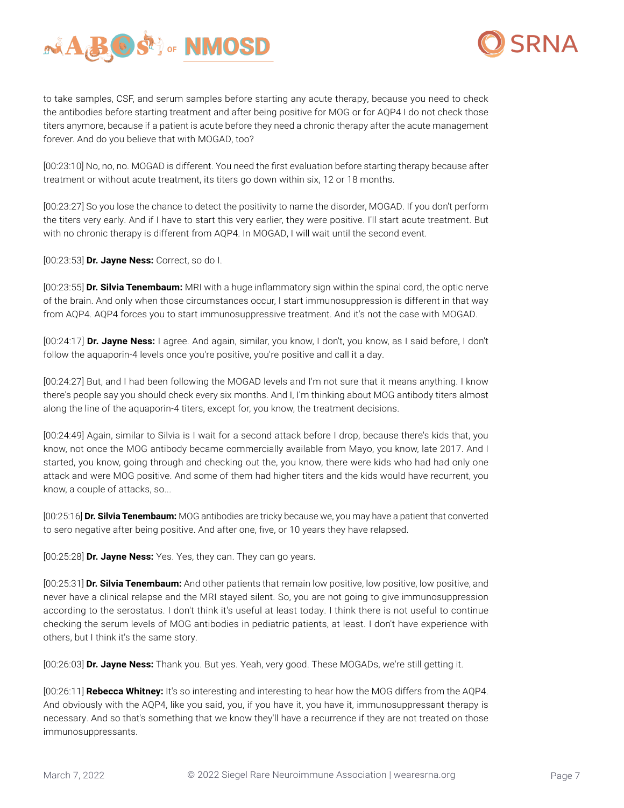



to take samples, CSF, and serum samples before starting any acute therapy, because you need to check the antibodies before starting treatment and after being positive for MOG or for AQP4 I do not check those titers anymore, because if a patient is acute before they need a chronic therapy after the acute management forever. And do you believe that with MOGAD, too?

[00:23:10] No, no, no. MOGAD is different. You need the first evaluation before starting therapy because after treatment or without acute treatment, its titers go down within six, 12 or 18 months.

[00:23:27] So you lose the chance to detect the positivity to name the disorder, MOGAD. If you don't perform the titers very early. And if I have to start this very earlier, they were positive. I'll start acute treatment. But with no chronic therapy is different from AQP4. In MOGAD, I will wait until the second event.

[00:23:53] **Dr. Jayne Ness:** Correct, so do I.

[00:23:55] **Dr. Silvia Tenembaum:** MRI with a huge inflammatory sign within the spinal cord, the optic nerve of the brain. And only when those circumstances occur, I start immunosuppression is different in that way from AQP4. AQP4 forces you to start immunosuppressive treatment. And it's not the case with MOGAD.

[00:24:17] **Dr. Jayne Ness:** I agree. And again, similar, you know, I don't, you know, as I said before, I don't follow the aquaporin-4 levels once you're positive, you're positive and call it a day.

[00:24:27] But, and I had been following the MOGAD levels and I'm not sure that it means anything. I know there's people say you should check every six months. And I, I'm thinking about MOG antibody titers almost along the line of the aquaporin-4 titers, except for, you know, the treatment decisions.

[00:24:49] Again, similar to Silvia is I wait for a second attack before I drop, because there's kids that, you know, not once the MOG antibody became commercially available from Mayo, you know, late 2017. And I started, you know, going through and checking out the, you know, there were kids who had had only one attack and were MOG positive. And some of them had higher titers and the kids would have recurrent, you know, a couple of attacks, so...

[00:25:16] **Dr. Silvia Tenembaum:** MOG antibodies are tricky because we, you may have a patient that converted to sero negative after being positive. And after one, five, or 10 years they have relapsed.

[00:25:28] **Dr. Jayne Ness:** Yes. Yes, they can. They can go years.

[00:25:31] **Dr. Silvia Tenembaum:** And other patients that remain low positive, low positive, low positive, and never have a clinical relapse and the MRI stayed silent. So, you are not going to give immunosuppression according to the serostatus. I don't think it's useful at least today. I think there is not useful to continue checking the serum levels of MOG antibodies in pediatric patients, at least. I don't have experience with others, but I think it's the same story.

[00:26:03] **Dr. Jayne Ness:** Thank you. But yes. Yeah, very good. These MOGADs, we're still getting it.

[00:26:11] **Rebecca Whitney:** It's so interesting and interesting to hear how the MOG differs from the AQP4. And obviously with the AQP4, like you said, you, if you have it, you have it, immunosuppressant therapy is necessary. And so that's something that we know they'll have a recurrence if they are not treated on those immunosuppressants.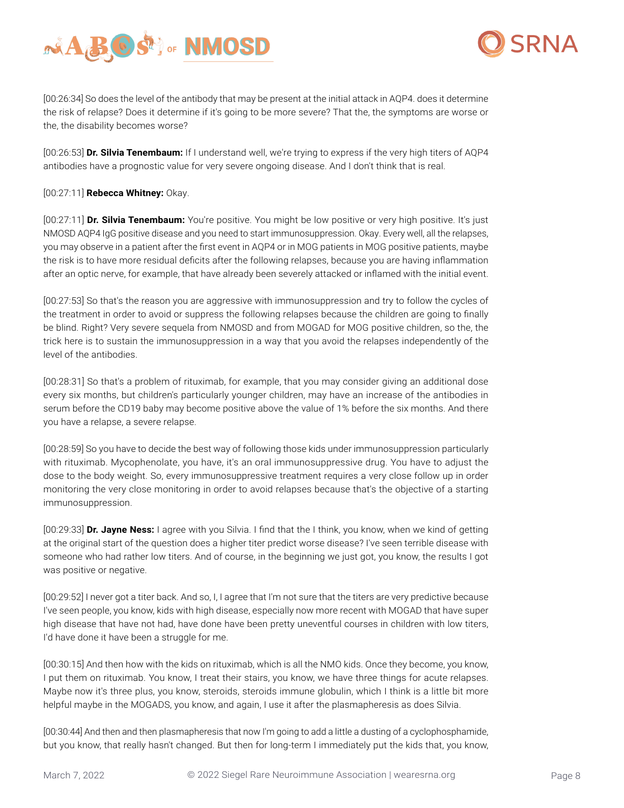



[00:26:34] So does the level of the antibody that may be present at the initial attack in AQP4. does it determine the risk of relapse? Does it determine if it's going to be more severe? That the, the symptoms are worse or the, the disability becomes worse?

[00:26:53] **Dr. Silvia Tenembaum:** If I understand well, we're trying to express if the very high titers of AQP4 antibodies have a prognostic value for very severe ongoing disease. And I don't think that is real.

[00:27:11] **Rebecca Whitney:** Okay.

[00:27:11] **Dr. Silvia Tenembaum:** You're positive. You might be low positive or very high positive. It's just NMOSD AQP4 IgG positive disease and you need to start immunosuppression. Okay. Every well, all the relapses, you may observe in a patient after the first event in AQP4 or in MOG patients in MOG positive patients, maybe the risk is to have more residual deficits after the following relapses, because you are having inflammation after an optic nerve, for example, that have already been severely attacked or inflamed with the initial event.

[00:27:53] So that's the reason you are aggressive with immunosuppression and try to follow the cycles of the treatment in order to avoid or suppress the following relapses because the children are going to finally be blind. Right? Very severe sequela from NMOSD and from MOGAD for MOG positive children, so the, the trick here is to sustain the immunosuppression in a way that you avoid the relapses independently of the level of the antibodies.

[00:28:31] So that's a problem of rituximab, for example, that you may consider giving an additional dose every six months, but children's particularly younger children, may have an increase of the antibodies in serum before the CD19 baby may become positive above the value of 1% before the six months. And there you have a relapse, a severe relapse.

[00:28:59] So you have to decide the best way of following those kids under immunosuppression particularly with rituximab. Mycophenolate, you have, it's an oral immunosuppressive drug. You have to adjust the dose to the body weight. So, every immunosuppressive treatment requires a very close follow up in order monitoring the very close monitoring in order to avoid relapses because that's the objective of a starting immunosuppression.

[00:29:33] **Dr. Jayne Ness:** I agree with you Silvia. I find that the I think, you know, when we kind of getting at the original start of the question does a higher titer predict worse disease? I've seen terrible disease with someone who had rather low titers. And of course, in the beginning we just got, you know, the results I got was positive or negative.

[00:29:52] I never got a titer back. And so, I, I agree that I'm not sure that the titers are very predictive because I've seen people, you know, kids with high disease, especially now more recent with MOGAD that have super high disease that have not had, have done have been pretty uneventful courses in children with low titers, I'd have done it have been a struggle for me.

[00:30:15] And then how with the kids on rituximab, which is all the NMO kids. Once they become, you know, I put them on rituximab. You know, I treat their stairs, you know, we have three things for acute relapses. Maybe now it's three plus, you know, steroids, steroids immune globulin, which I think is a little bit more helpful maybe in the MOGADS, you know, and again, I use it after the plasmapheresis as does Silvia.

[00:30:44] And then and then plasmapheresis that now I'm going to add a little a dusting of a cyclophosphamide, but you know, that really hasn't changed. But then for long-term I immediately put the kids that, you know,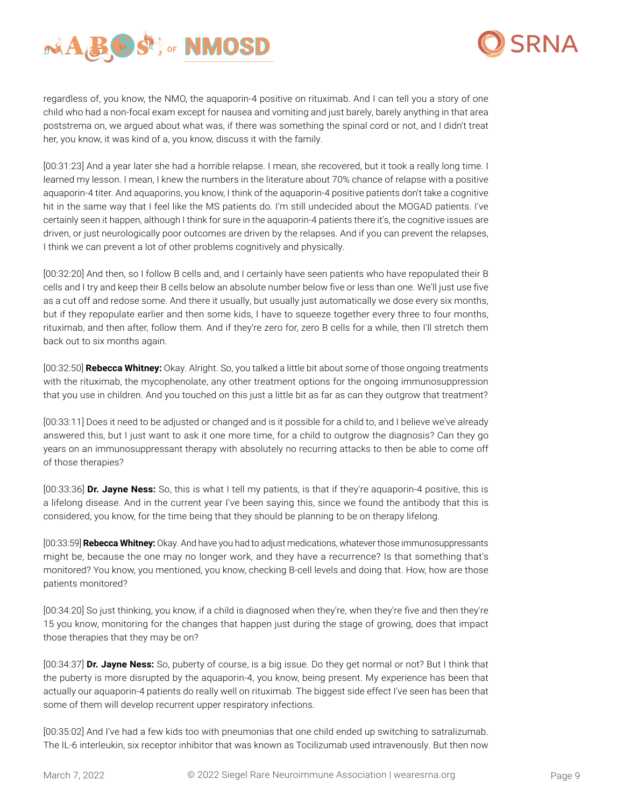



regardless of, you know, the NMO, the aquaporin-4 positive on rituximab. And I can tell you a story of one child who had a non-focal exam except for nausea and vomiting and just barely, barely anything in that area poststrema on, we argued about what was, if there was something the spinal cord or not, and I didn't treat her, you know, it was kind of a, you know, discuss it with the family.

[00:31:23] And a year later she had a horrible relapse. I mean, she recovered, but it took a really long time. I learned my lesson. I mean, I knew the numbers in the literature about 70% chance of relapse with a positive aquaporin-4 titer. And aquaporins, you know, I think of the aquaporin-4 positive patients don't take a cognitive hit in the same way that I feel like the MS patients do. I'm still undecided about the MOGAD patients. I've certainly seen it happen, although I think for sure in the aquaporin-4 patients there it's, the cognitive issues are driven, or just neurologically poor outcomes are driven by the relapses. And if you can prevent the relapses, I think we can prevent a lot of other problems cognitively and physically.

[00:32:20] And then, so I follow B cells and, and I certainly have seen patients who have repopulated their B cells and I try and keep their B cells below an absolute number below five or less than one. We'll just use five as a cut off and redose some. And there it usually, but usually just automatically we dose every six months, but if they repopulate earlier and then some kids, I have to squeeze together every three to four months, rituximab, and then after, follow them. And if they're zero for, zero B cells for a while, then I'll stretch them back out to six months again.

[00:32:50] **Rebecca Whitney:** Okay. Alright. So, you talked a little bit about some of those ongoing treatments with the rituximab, the mycophenolate, any other treatment options for the ongoing immunosuppression that you use in children. And you touched on this just a little bit as far as can they outgrow that treatment?

[00:33:11] Does it need to be adjusted or changed and is it possible for a child to, and I believe we've already answered this, but I just want to ask it one more time, for a child to outgrow the diagnosis? Can they go years on an immunosuppressant therapy with absolutely no recurring attacks to then be able to come off of those therapies?

[00:33:36] **Dr. Jayne Ness:** So, this is what I tell my patients, is that if they're aquaporin-4 positive, this is a lifelong disease. And in the current year I've been saying this, since we found the antibody that this is considered, you know, for the time being that they should be planning to be on therapy lifelong.

[00:33:59] **Rebecca Whitney:** Okay. And have you had to adjust medications, whatever those immunosuppressants might be, because the one may no longer work, and they have a recurrence? Is that something that's monitored? You know, you mentioned, you know, checking B-cell levels and doing that. How, how are those patients monitored?

[00:34:20] So just thinking, you know, if a child is diagnosed when they're, when they're five and then they're 15 you know, monitoring for the changes that happen just during the stage of growing, does that impact those therapies that they may be on?

[00:34:37] **Dr. Jayne Ness:** So, puberty of course, is a big issue. Do they get normal or not? But I think that the puberty is more disrupted by the aquaporin-4, you know, being present. My experience has been that actually our aquaporin-4 patients do really well on rituximab. The biggest side effect I've seen has been that some of them will develop recurrent upper respiratory infections.

[00:35:02] And I've had a few kids too with pneumonias that one child ended up switching to satralizumab. The IL-6 interleukin, six receptor inhibitor that was known as Tocilizumab used intravenously. But then now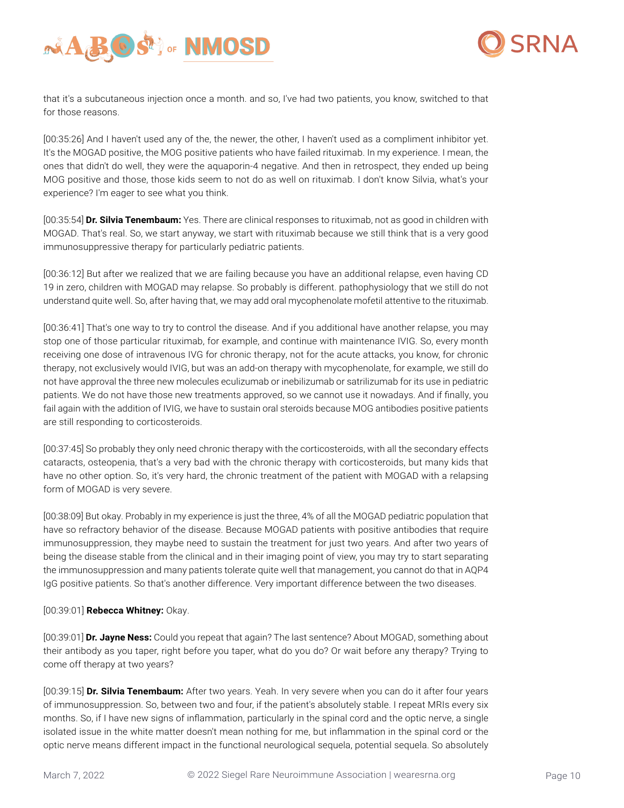



that it's a subcutaneous injection once a month. and so, I've had two patients, you know, switched to that for those reasons.

[00:35:26] And I haven't used any of the, the newer, the other, I haven't used as a compliment inhibitor yet. It's the MOGAD positive, the MOG positive patients who have failed rituximab. In my experience. I mean, the ones that didn't do well, they were the aquaporin-4 negative. And then in retrospect, they ended up being MOG positive and those, those kids seem to not do as well on rituximab. I don't know Silvia, what's your experience? I'm eager to see what you think.

[00:35:54] **Dr. Silvia Tenembaum:** Yes. There are clinical responses to rituximab, not as good in children with MOGAD. That's real. So, we start anyway, we start with rituximab because we still think that is a very good immunosuppressive therapy for particularly pediatric patients.

[00:36:12] But after we realized that we are failing because you have an additional relapse, even having CD 19 in zero, children with MOGAD may relapse. So probably is different. pathophysiology that we still do not understand quite well. So, after having that, we may add oral mycophenolate mofetil attentive to the rituximab.

[00:36:41] That's one way to try to control the disease. And if you additional have another relapse, you may stop one of those particular rituximab, for example, and continue with maintenance IVIG. So, every month receiving one dose of intravenous IVG for chronic therapy, not for the acute attacks, you know, for chronic therapy, not exclusively would IVIG, but was an add-on therapy with mycophenolate, for example, we still do not have approval the three new molecules eculizumab or inebilizumab or satrilizumab for its use in pediatric patients. We do not have those new treatments approved, so we cannot use it nowadays. And if finally, you fail again with the addition of IVIG, we have to sustain oral steroids because MOG antibodies positive patients are still responding to corticosteroids.

[00:37:45] So probably they only need chronic therapy with the corticosteroids, with all the secondary effects cataracts, osteopenia, that's a very bad with the chronic therapy with corticosteroids, but many kids that have no other option. So, it's very hard, the chronic treatment of the patient with MOGAD with a relapsing form of MOGAD is very severe.

[00:38:09] But okay. Probably in my experience is just the three, 4% of all the MOGAD pediatric population that have so refractory behavior of the disease. Because MOGAD patients with positive antibodies that require immunosuppression, they maybe need to sustain the treatment for just two years. And after two years of being the disease stable from the clinical and in their imaging point of view, you may try to start separating the immunosuppression and many patients tolerate quite well that management, you cannot do that in AQP4 IgG positive patients. So that's another difference. Very important difference between the two diseases.

# [00:39:01] **Rebecca Whitney:** Okay.

[00:39:01] **Dr. Jayne Ness:** Could you repeat that again? The last sentence? About MOGAD, something about their antibody as you taper, right before you taper, what do you do? Or wait before any therapy? Trying to come off therapy at two years?

[00:39:15] **Dr. Silvia Tenembaum:** After two years. Yeah. In very severe when you can do it after four years of immunosuppression. So, between two and four, if the patient's absolutely stable. I repeat MRIs every six months. So, if I have new signs of inflammation, particularly in the spinal cord and the optic nerve, a single isolated issue in the white matter doesn't mean nothing for me, but inflammation in the spinal cord or the optic nerve means different impact in the functional neurological sequela, potential sequela. So absolutely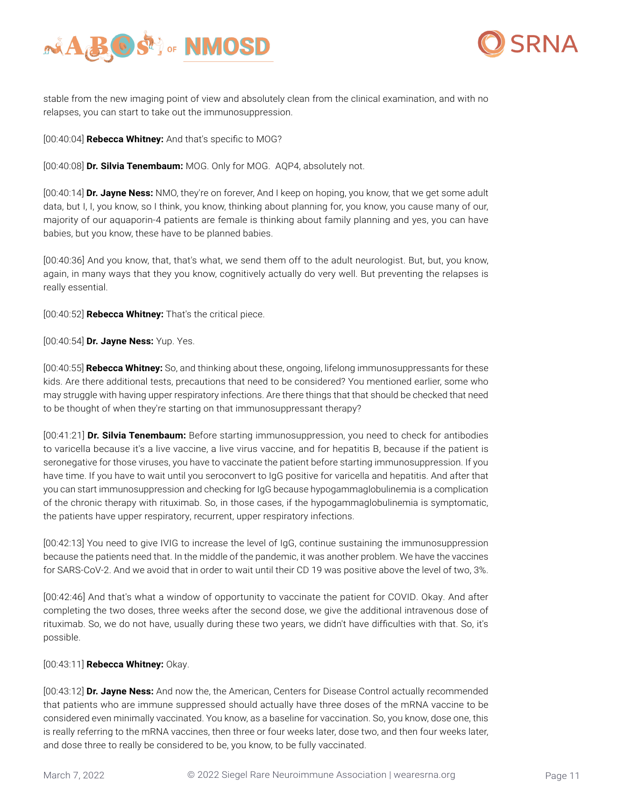



stable from the new imaging point of view and absolutely clean from the clinical examination, and with no relapses, you can start to take out the immunosuppression.

[00:40:04] **Rebecca Whitney:** And that's specific to MOG?

[00:40:08] **Dr. Silvia Tenembaum:** MOG. Only for MOG. AQP4, absolutely not.

[00:40:14] **Dr. Jayne Ness:** NMO, they're on forever, And I keep on hoping, you know, that we get some adult data, but I, I, you know, so I think, you know, thinking about planning for, you know, you cause many of our, majority of our aquaporin-4 patients are female is thinking about family planning and yes, you can have babies, but you know, these have to be planned babies.

[00:40:36] And you know, that, that's what, we send them off to the adult neurologist. But, but, you know, again, in many ways that they you know, cognitively actually do very well. But preventing the relapses is really essential.

[00:40:52] **Rebecca Whitney:** That's the critical piece.

### [00:40:54] **Dr. Jayne Ness:** Yup. Yes.

[00:40:55] **Rebecca Whitney:** So, and thinking about these, ongoing, lifelong immunosuppressants for these kids. Are there additional tests, precautions that need to be considered? You mentioned earlier, some who may struggle with having upper respiratory infections. Are there things that that should be checked that need to be thought of when they're starting on that immunosuppressant therapy?

[00:41:21] **Dr. Silvia Tenembaum:** Before starting immunosuppression, you need to check for antibodies to varicella because it's a live vaccine, a live virus vaccine, and for hepatitis B, because if the patient is seronegative for those viruses, you have to vaccinate the patient before starting immunosuppression. If you have time. If you have to wait until you seroconvert to IgG positive for varicella and hepatitis. And after that you can start immunosuppression and checking for IgG because hypogammaglobulinemia is a complication of the chronic therapy with rituximab. So, in those cases, if the hypogammaglobulinemia is symptomatic, the patients have upper respiratory, recurrent, upper respiratory infections.

[00:42:13] You need to give IVIG to increase the level of IgG, continue sustaining the immunosuppression because the patients need that. In the middle of the pandemic, it was another problem. We have the vaccines for SARS-CoV-2. And we avoid that in order to wait until their CD 19 was positive above the level of two, 3%.

[00:42:46] And that's what a window of opportunity to vaccinate the patient for COVID. Okay. And after completing the two doses, three weeks after the second dose, we give the additional intravenous dose of rituximab. So, we do not have, usually during these two years, we didn't have difficulties with that. So, it's possible.

# [00:43:11] **Rebecca Whitney:** Okay.

[00:43:12] **Dr. Jayne Ness:** And now the, the American, Centers for Disease Control actually recommended that patients who are immune suppressed should actually have three doses of the mRNA vaccine to be considered even minimally vaccinated. You know, as a baseline for vaccination. So, you know, dose one, this is really referring to the mRNA vaccines, then three or four weeks later, dose two, and then four weeks later, and dose three to really be considered to be, you know, to be fully vaccinated.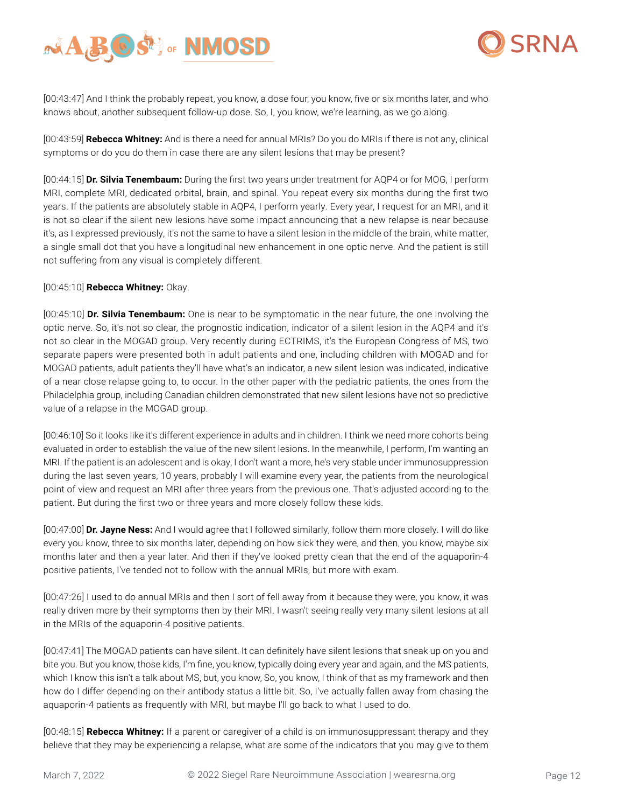



[00:43:47] And I think the probably repeat, you know, a dose four, you know, five or six months later, and who knows about, another subsequent follow-up dose. So, I, you know, we're learning, as we go along.

[00:43:59] **Rebecca Whitney:** And is there a need for annual MRIs? Do you do MRIs if there is not any, clinical symptoms or do you do them in case there are any silent lesions that may be present?

[00:44:15] **Dr. Silvia Tenembaum:** During the first two years under treatment for AQP4 or for MOG, I perform MRI, complete MRI, dedicated orbital, brain, and spinal. You repeat every six months during the first two years. If the patients are absolutely stable in AQP4, I perform yearly. Every year, I request for an MRI, and it is not so clear if the silent new lesions have some impact announcing that a new relapse is near because it's, as I expressed previously, it's not the same to have a silent lesion in the middle of the brain, white matter, a single small dot that you have a longitudinal new enhancement in one optic nerve. And the patient is still not suffering from any visual is completely different.

### [00:45:10] **Rebecca Whitney:** Okay.

[00:45:10] **Dr. Silvia Tenembaum:** One is near to be symptomatic in the near future, the one involving the optic nerve. So, it's not so clear, the prognostic indication, indicator of a silent lesion in the AQP4 and it's not so clear in the MOGAD group. Very recently during ECTRIMS, it's the European Congress of MS, two separate papers were presented both in adult patients and one, including children with MOGAD and for MOGAD patients, adult patients they'll have what's an indicator, a new silent lesion was indicated, indicative of a near close relapse going to, to occur. In the other paper with the pediatric patients, the ones from the Philadelphia group, including Canadian children demonstrated that new silent lesions have not so predictive value of a relapse in the MOGAD group.

[00:46:10] So it looks like it's different experience in adults and in children. I think we need more cohorts being evaluated in order to establish the value of the new silent lesions. In the meanwhile, I perform, I'm wanting an MRI. If the patient is an adolescent and is okay, I don't want a more, he's very stable under immunosuppression during the last seven years, 10 years, probably I will examine every year, the patients from the neurological point of view and request an MRI after three years from the previous one. That's adjusted according to the patient. But during the first two or three years and more closely follow these kids.

[00:47:00] **Dr. Jayne Ness:** And I would agree that I followed similarly, follow them more closely. I will do like every you know, three to six months later, depending on how sick they were, and then, you know, maybe six months later and then a year later. And then if they've looked pretty clean that the end of the aquaporin-4 positive patients, I've tended not to follow with the annual MRIs, but more with exam.

[00:47:26] I used to do annual MRIs and then I sort of fell away from it because they were, you know, it was really driven more by their symptoms then by their MRI. I wasn't seeing really very many silent lesions at all in the MRIs of the aquaporin-4 positive patients.

[00:47:41] The MOGAD patients can have silent. It can definitely have silent lesions that sneak up on you and bite you. But you know, those kids, I'm fine, you know, typically doing every year and again, and the MS patients, which I know this isn't a talk about MS, but, you know, So, you know, I think of that as my framework and then how do I differ depending on their antibody status a little bit. So, I've actually fallen away from chasing the aquaporin-4 patients as frequently with MRI, but maybe I'll go back to what I used to do.

[00:48:15] **Rebecca Whitney:** If a parent or caregiver of a child is on immunosuppressant therapy and they believe that they may be experiencing a relapse, what are some of the indicators that you may give to them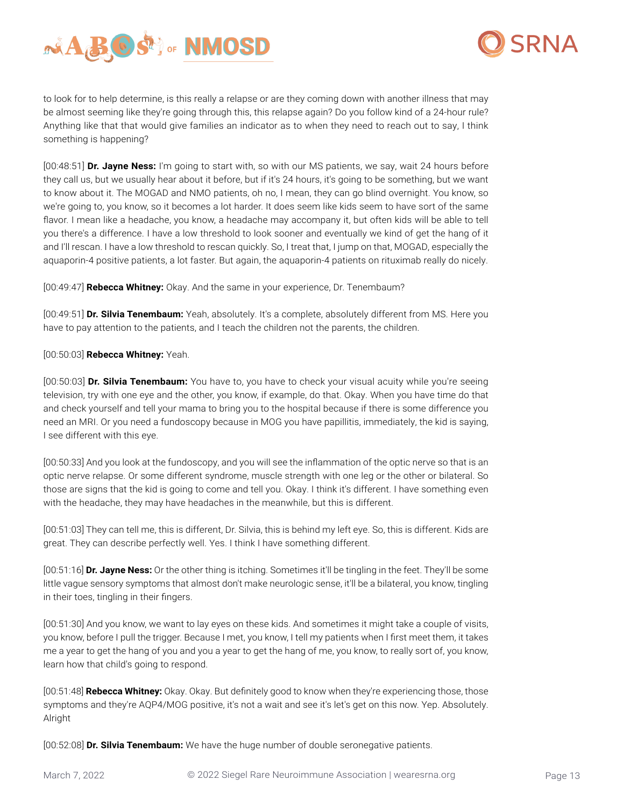



to look for to help determine, is this really a relapse or are they coming down with another illness that may be almost seeming like they're going through this, this relapse again? Do you follow kind of a 24-hour rule? Anything like that that would give families an indicator as to when they need to reach out to say, I think something is happening?

[00:48:51] **Dr. Jayne Ness:** I'm going to start with, so with our MS patients, we say, wait 24 hours before they call us, but we usually hear about it before, but if it's 24 hours, it's going to be something, but we want to know about it. The MOGAD and NMO patients, oh no, I mean, they can go blind overnight. You know, so we're going to, you know, so it becomes a lot harder. It does seem like kids seem to have sort of the same flavor. I mean like a headache, you know, a headache may accompany it, but often kids will be able to tell you there's a difference. I have a low threshold to look sooner and eventually we kind of get the hang of it and I'll rescan. I have a low threshold to rescan quickly. So, I treat that, I jump on that, MOGAD, especially the aquaporin-4 positive patients, a lot faster. But again, the aquaporin-4 patients on rituximab really do nicely.

[00:49:47] **Rebecca Whitney:** Okay. And the same in your experience, Dr. Tenembaum?

[00:49:51] **Dr. Silvia Tenembaum:** Yeah, absolutely. It's a complete, absolutely different from MS. Here you have to pay attention to the patients, and I teach the children not the parents, the children.

### [00:50:03] **Rebecca Whitney:** Yeah.

[00:50:03] **Dr. Silvia Tenembaum:** You have to, you have to check your visual acuity while you're seeing television, try with one eye and the other, you know, if example, do that. Okay. When you have time do that and check yourself and tell your mama to bring you to the hospital because if there is some difference you need an MRI. Or you need a fundoscopy because in MOG you have papillitis, immediately, the kid is saying, I see different with this eye.

[00:50:33] And you look at the fundoscopy, and you will see the inflammation of the optic nerve so that is an optic nerve relapse. Or some different syndrome, muscle strength with one leg or the other or bilateral. So those are signs that the kid is going to come and tell you. Okay. I think it's different. I have something even with the headache, they may have headaches in the meanwhile, but this is different.

[00:51:03] They can tell me, this is different, Dr. Silvia, this is behind my left eye. So, this is different. Kids are great. They can describe perfectly well. Yes. I think I have something different.

[00:51:16] **Dr. Jayne Ness:** Or the other thing is itching. Sometimes it'll be tingling in the feet. They'll be some little vague sensory symptoms that almost don't make neurologic sense, it'll be a bilateral, you know, tingling in their toes, tingling in their fingers.

[00:51:30] And you know, we want to lay eyes on these kids. And sometimes it might take a couple of visits, you know, before I pull the trigger. Because I met, you know, I tell my patients when I first meet them, it takes me a year to get the hang of you and you a year to get the hang of me, you know, to really sort of, you know, learn how that child's going to respond.

[00:51:48] **Rebecca Whitney:** Okay. Okay. But definitely good to know when they're experiencing those, those symptoms and they're AQP4/MOG positive, it's not a wait and see it's let's get on this now. Yep. Absolutely. Alright

[00:52:08] **Dr. Silvia Tenembaum:** We have the huge number of double seronegative patients.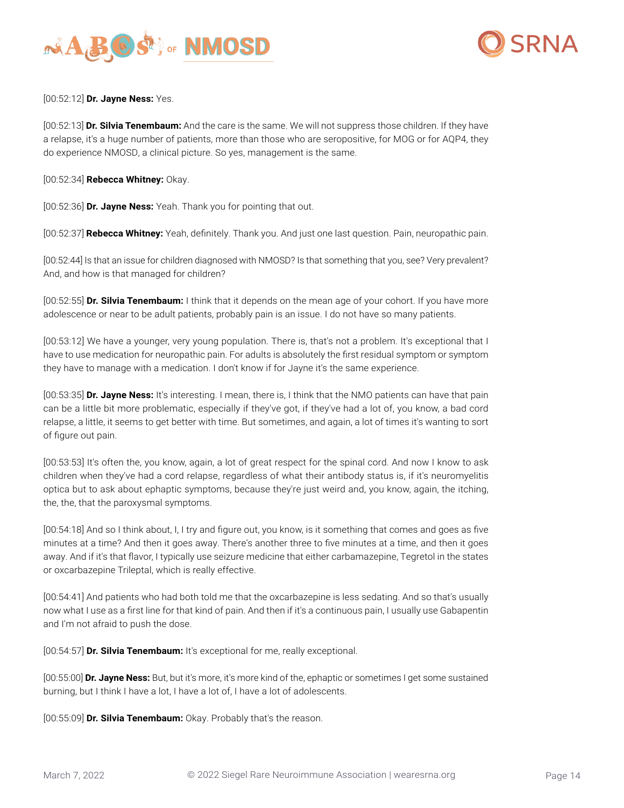



[00:52:12] **Dr. Jayne Ness:** Yes.

[00:52:13] **Dr. Silvia Tenembaum:** And the care is the same. We will not suppress those children. If they have a relapse, it's a huge number of patients, more than those who are seropositive, for MOG or for AQP4, they do experience NMOSD, a clinical picture. So yes, management is the same.

[00:52:34] **Rebecca Whitney:** Okay.

[00:52:36] **Dr. Jayne Ness:** Yeah. Thank you for pointing that out.

[00:52:37] **Rebecca Whitney:** Yeah, definitely. Thank you. And just one last question. Pain, neuropathic pain.

[00:52:44] Is that an issue for children diagnosed with NMOSD? Is that something that you, see? Very prevalent? And, and how is that managed for children?

[00:52:55] **Dr. Silvia Tenembaum:** I think that it depends on the mean age of your cohort. If you have more adolescence or near to be adult patients, probably pain is an issue. I do not have so many patients.

[00:53:12] We have a younger, very young population. There is, that's not a problem. It's exceptional that I have to use medication for neuropathic pain. For adults is absolutely the first residual symptom or symptom they have to manage with a medication. I don't know if for Jayne it's the same experience.

[00:53:35] **Dr. Jayne Ness:** It's interesting. I mean, there is, I think that the NMO patients can have that pain can be a little bit more problematic, especially if they've got, if they've had a lot of, you know, a bad cord relapse, a little, it seems to get better with time. But sometimes, and again, a lot of times it's wanting to sort of figure out pain.

[00:53:53] It's often the, you know, again, a lot of great respect for the spinal cord. And now I know to ask children when they've had a cord relapse, regardless of what their antibody status is, if it's neuromyelitis optica but to ask about ephaptic symptoms, because they're just weird and, you know, again, the itching, the, the, that the paroxysmal symptoms.

[00:54:18] And so I think about, I, I try and figure out, you know, is it something that comes and goes as five minutes at a time? And then it goes away. There's another three to five minutes at a time, and then it goes away. And if it's that flavor, I typically use seizure medicine that either carbamazepine, Tegretol in the states or oxcarbazepine Trileptal, which is really effective.

[00:54:41] And patients who had both told me that the oxcarbazepine is less sedating. And so that's usually now what I use as a first line for that kind of pain. And then if it's a continuous pain, I usually use Gabapentin and I'm not afraid to push the dose.

[00:54:57] **Dr. Silvia Tenembaum:** It's exceptional for me, really exceptional.

[00:55:00] **Dr. Jayne Ness:** But, but it's more, it's more kind of the, ephaptic or sometimes I get some sustained burning, but I think I have a lot, I have a lot of, I have a lot of adolescents.

[00:55:09] **Dr. Silvia Tenembaum:** Okay. Probably that's the reason.